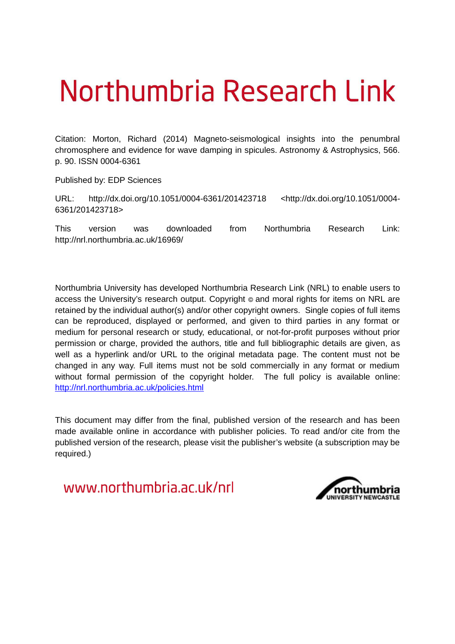# Northumbria Research Link

Citation: Morton, Richard (2014) Magneto-seismological insights into the penumbral chromosphere and evidence for wave damping in spicules. Astronomy & Astrophysics, 566. p. 90. ISSN 0004-6361

Published by: EDP Sciences

URL: http://dx.doi.org/10.1051/0004-6361/201423718 <http://dx.doi.org/10.1051/0004- 6361/201423718>

This version was downloaded from Northumbria Research Link: http://nrl.northumbria.ac.uk/16969/

Northumbria University has developed Northumbria Research Link (NRL) to enable users to access the University's research output. Copyright  $\circ$  and moral rights for items on NRL are retained by the individual author(s) and/or other copyright owners. Single copies of full items can be reproduced, displayed or performed, and given to third parties in any format or medium for personal research or study, educational, or not-for-profit purposes without prior permission or charge, provided the authors, title and full bibliographic details are given, as well as a hyperlink and/or URL to the original metadata page. The content must not be changed in any way. Full items must not be sold commercially in any format or medium without formal permission of the copyright holder. The full policy is available online: <http://nrl.northumbria.ac.uk/policies.html>

This document may differ from the final, published version of the research and has been made available online in accordance with publisher policies. To read and/or cite from the published version of the research, please visit the publisher's website (a subscription may be required.)

www.northumbria.ac.uk/nrl

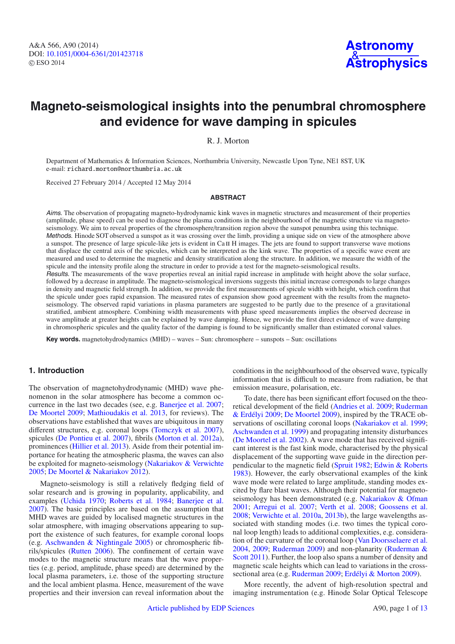# **Magneto-seismological insights into the penumbral chromosphere and evidence for wave damping in spicules**

<span id="page-1-0"></span>R. J. Morton

Department of Mathematics & Information Sciences, Northumbria University, Newcastle Upon Tyne, NE1 8ST, UK e-mail: richard.morton@northumbria.ac.uk

Received 27 February 2014 / Accepted 12 May 2014

# **ABSTRACT**

Aims. The observation of propagating magneto-hydrodynamic kink waves in magnetic structures and measurement of their properties (amplitude, phase speed) can be used to diagnose the plasma conditions in the neighbourhood of the magnetic structure via magnetoseismology. We aim to reveal properties of the chromosphere/transition region above the sunspot penumbra using this technique. Methods. Hinode SOT observed a sunspot as it was crossing over the limb, providing a unique side on view of the atmosphere above a sunspot. The presence of large spicule-like jets is evident in Ca II H images. The jets are found to support transverse wave motions that displace the central axis of the spicules, which can be interpreted as the kink wave. The properties of a specific wave event are measured and used to determine the magnetic and density stratification along the structure. In addition, we measure the width of the spicule and the intensity profile along the structure in order to provide a test for the magneto-seismological results.

Results. The measurements of the wave properties reveal an initial rapid increase in amplitude with height above the solar surface, followed by a decrease in amplitude. The magneto-seismological inversions suggests this initial increase corresponds to large changes in density and magnetic field strength. In addition, we provide the first measurements of spicule width with height, which confirm that the spicule under goes rapid expansion. The measured rates of expansion show good agreement with the results from the magnetoseismology. The observed rapid variations in plasma parameters are suggested to be partly due to the presence of a gravitational stratified, ambient atmosphere. Combining width measurements with phase speed measurements implies the observed decrease in wave amplitude at greater heights can be explained by wave damping. Hence, we provide the first direct evidence of wave damping in chromospheric spicules and the quality factor of the damping is found to be significantly smaller than estimated coronal values.

**Key words.** magnetohydrodynamics (MHD) – waves – Sun: chromosphere – sunspots – Sun: oscillations

# **1. Introduction**

The observation of magnetohydrodynamic (MHD) wave phenomenon in the solar atmosphere has become a common occurrence in the last two decades (see, e.g. [Banerjee et al. 2007;](#page-11-0) [De Moortel 2009](#page-11-1); [Mathioudakis et al. 2013](#page-12-0), for reviews). The observations have established that waves are ubiquitous in many different structures, e.g. coronal loops [\(Tomczyk et al. 2007\)](#page-12-1), spicules [\(De Pontieu et al. 2007\)](#page-11-2), fibrils [\(Morton et al. 2012a\)](#page-12-2), prominences [\(Hillier et al. 2013\)](#page-12-3). Aside from their potential importance for heating the atmospheric plasma, the waves can also be exploited for magneto-seismology [\(Nakariakov & Verwichte](#page-12-4) [2005;](#page-12-4) [De Moortel & Nakariakov 2012\)](#page-11-3).

Magneto-seismology is still a relatively fledging field of solar research and is growing in popularity, applicability, and examples [\(Uchida 1970](#page-12-5); [Roberts et al. 1984](#page-12-6); [Banerjee et al.](#page-11-0) [2007\)](#page-11-0). The basic principles are based on the assumption that MHD waves are guided by localised magnetic structures in the solar atmosphere, with imaging observations appearing to support the existence of such features, for example coronal loops (e.g. [Aschwanden & Nightingale 2005\)](#page-11-4) or chromospheric fibrils/spicules [\(Rutten 2006](#page-12-7)). The confinement of certain wave modes to the magnetic structure means that the wave properties (e.g. period, amplitude, phase speed) are determined by the local plasma parameters, i.e. those of the supporting structure and the local ambient plasma. Hence, measurement of the wave properties and their inversion can reveal information about the conditions in the neighbourhood of the observed wave, typically information that is difficult to measure from radiation, be that emission measure, polarisation, etc.

To date, there has been significant effort focused on the theoretical de[velopment of the field](#page-12-8) [\(Andries et al. 2009](#page-11-5)[;](#page-12-8) Ruderman & Erdélyi [2009;](#page-12-8) [De Moortel 2009\)](#page-11-1), inspired by the TRACE observations of oscillating coronal loops [\(Nakariakov et al. 1999;](#page-12-9) [Aschwanden et al. 1999](#page-11-6)) and propagating intensity disturbances [\(De Moortel et al. 2002\)](#page-11-7). A wave mode that has received significant interest is the fast kink mode, characterised by the physical displacement of the supporting wave guide in the direction perpendicular to the magnetic field [\(Spruit 1982](#page-12-10); [Edwin & Roberts](#page-12-11) [1983\)](#page-12-11). However, the early observational examples of the kink wave mode were related to large amplitude, standing modes excited by flare blast waves. Although their potential for magnetoseismology has been demonstrated (e.g. [Nakariakov & Ofman](#page-12-12) [2001;](#page-12-12) [Arregui et al. 2007](#page-11-8); [Verth et al. 2008](#page-12-13); [Goossens et al.](#page-12-14) [2008;](#page-12-14) [Verwichte et al. 2010a,](#page-12-15) [2013b](#page-12-16)), the large wavelengths associated with standing modes (i.e. two times the typical coronal loop length) leads to additional complexities, e.g. consideration of the curvature of the coronal loop [\(Van Doorsselaere et al.](#page-12-17) [2004,](#page-12-17) [2009;](#page-12-18) [Ruderman 2009](#page-12-19)[\) and non-planarity \(](#page-12-20)Ruderman & Scott [2011](#page-12-20)). Further, the loop also spans a number of density and magnetic scale heights which can lead to variations in the crosssectional area (e.g. [Ruderman 2009;](#page-12-19) [Erdélyi & Morton 2009](#page-12-21)).

More recently, the advent of high-resolution spectral and imaging instrumentation (e.g. Hinode Solar Optical Telescope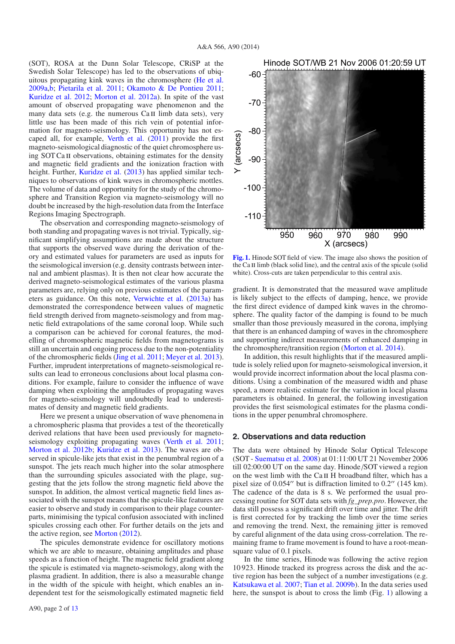(SOT), ROSA at the Dunn Solar Telescope, CRiSP at the Swedish Solar Telescope) has led to the observations of ubiquitous propagating kink waves in the chromosphere [\(He et al.](#page-12-23) [2009a](#page-12-23)[,b;](#page-12-24) [Pietarila et al. 2011](#page-12-25); [Okamoto & De Pontieu 2011;](#page-12-26) [Kuridze et al. 2012](#page-12-27); [Morton et al. 2012a\)](#page-12-2). In spite of the vast amount of observed propagating wave phenomenon and the many data sets (e.g. the numerous  $Ca II$  limb data sets), very little use has been made of this rich vein of potential information for magneto-seismology. This opportunity has not escaped all, for example, [Verth et al.](#page-12-28) [\(2011\)](#page-12-28) provide the first magneto-seismological diagnostic of the quiet chromosphere using SOT Ca II observations, obtaining estimates for the density and magnetic field gradients and the ionization fraction with height. Further, [Kuridze et al.](#page-12-29) [\(2013\)](#page-12-29) has applied similar techniques to observations of kink waves in chromospheric mottles. The volume of data and opportunity for the study of the chromosphere and Transition Region via magneto-seismology will no doubt be increased by the high-resolution data from the Interface Regions Imaging Spectrograph.

<span id="page-2-0"></span>The observation and corresponding magneto-seismology of both standing and propagating waves is not trivial. Typically, significant simplifying assumptions are made about the structure that supports the observed wave during the derivation of theory and estimated values for parameters are used as inputs for the seismological inversion (e.g. density contrasts between internal and ambient plasmas). It is then not clear how accurate the derived magneto-seismological estimates of the various plasma parameters are, relying only on previous estimates of the parameters as guidance. On this note, [Verwichte et al.](#page-12-30) [\(2013a](#page-12-30)) has demonstrated the correspondence between values of magnetic field strength derived from magneto-seismology and from magnetic field extrapolations of the same coronal loop. While such a comparison can be achieved for coronal features, the modelling of chromospheric magnetic fields from magnetograms is still an uncertain and ongoing process due to the non-potentiality of the chromospheric fields [\(Jing et al. 2011](#page-12-31); [Meyer et al. 2013\)](#page-12-32). Further, imprudent interpretations of magneto-seismological results can lead to erroneous conclusions about local plasma conditions. For example, failure to consider the influence of wave damping when exploiting the amplitudes of propagating waves for magneto-seismology will undoubtedly lead to underestimates of density and magnetic field gradients.

Here we present a unique observation of wave phenomena in a chromospheric plasma that provides a test of the theoretically derived relations that have been used previously for magneto-seismology exploiting propagating waves [\(Verth et al. 2011;](#page-12-28) [Morton et al. 2012b;](#page-12-33) [Kuridze et al. 2013\)](#page-12-29). The waves are observed in spicule-like jets that exist in the penumbral region of a sunspot. The jets reach much higher into the solar atmosphere than the surrounding spicules associated with the plage, suggesting that the jets follow the strong magnetic field above the sunspot. In addition, the almost vertical magnetic field lines associated with the sunspot means that the spicule-like features are easier to observe and study in comparison to their plage counterparts, minimising the typical confusion associated with inclined spicules crossing each other. For further details on the jets and the active region, see [Morton](#page-12-34) [\(2012\)](#page-12-34).

The spicules demonstrate evidence for oscillatory motions which we are able to measure, obtaining amplitudes and phase speeds as a function of height. The magnetic field gradient along the spicule is estimated via magneto-seismology, along with the plasma gradient. In addition, there is also a measurable change in the width of the spicule with height, which enables an independent test for the seismologically estimated magnetic field



Hinode SOT/WB 21 Nov 2006 01:20:59 UT

**[Fig. 1.](http://dexter.edpsciences.org/applet.php?DOI=10.1051/0004-6361/201423718&pdf_id=1)** Hinode SOT field of view. The image also shows the position of the Ca II limb (black solid line), and the central axis of the spicule (solid white). Cross-cuts are taken perpendicular to this central axis.

gradient. It is demonstrated that the measured wave amplitude is likely subject to the effects of damping, hence, we provide the first direct evidence of damped kink waves in the chromosphere. The quality factor of the damping is found to be much smaller than those previously measured in the corona, implying that there is an enhanced damping of waves in the chromosphere and supporting indirect measurements of enhanced damping in the chromosphere/transition region [\(Morton et al. 2014\)](#page-12-35).

In addition, this result highlights that if the measured amplitude is solely relied upon for magneto-seismological inversion, it would provide incorrect information about the local plasma conditions. Using a combination of the measured width and phase speed, a more realistic estimate for the variation in local plasma parameters is obtained. In general, the following investigation provides the first seismological estimates for the plasma conditions in the upper penumbral chromosphere.

## <span id="page-2-1"></span>**2. Observations and data reduction**

The data were obtained by Hinode Solar Optical Telescope (SOT - [Suematsu et al. 2008\)](#page-12-36) at 01:11:00 UT 21 November 2006 till 02:00:00 UT on the same day. Hinode /SOT viewed a region on the west limb with the Ca II H broadband filter, which has a pixel size of 0.054" but is diffraction limited to 0.2" (145 km). The cadence of the data is 8 s. We performed the usual processing routine for SOT data sets with *fg\_prep.pro*. However, the data still possess a significant drift over time and jitter. The drift is first corrected for by tracking the limb over the time series and removing the trend. Next, the remaining jitter is removed by careful alignment of the data using cross-correlation. The remaining frame to frame movement is found to have a root-meansquare value of 0.1 pixels.

In the time series, Hinode was following the active region 10 923. Hinode tracked its progress across the disk and the active region has been the subject of a number investigations (e.g. [Katsukawa et al. 2007](#page-12-37); [Tian et al. 2009b](#page-12-38)). In the data series used here, the sunspot is about to cross the limb (Fig. [1\)](#page-1-0) allowing a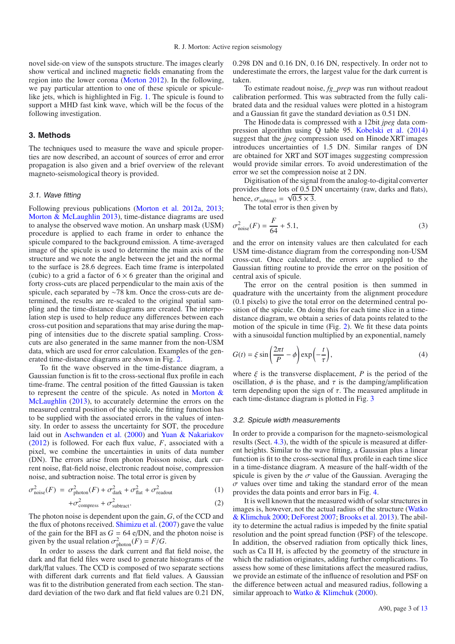novel side-on view of the sunspots structure. The images clearly show vertical and inclined magnetic fields emanating from the region into the lower corona [\(Morton 2012\)](#page-12-34). In the following, we pay particular attention to one of these spicule or spiculelike jets, which is highlighted in Fig. [1.](#page-1-0) The spicule is found to support a MHD fast kink wave, which will be the focus of the following investigation.

# **3. Methods**

The techniques used to measure the wave and spicule properties are now described, an account of sources of error and error propagation is also given and a brief overview of the relevant magneto-seismological theory is provided.

# 3.1. Wave fitting

Following previous publications [\(Morton et al. 2012a](#page-12-2), [2013;](#page-12-39) [Morton & McLaughlin 2013\)](#page-12-40), time-distance diagrams are used to analyse the observed wave motion. An unsharp mask (USM) procedure is applied to each frame in order to enhance the spicule compared to the background emission. A time-averaged image of the spicule is used to determine the main axis of the structure and we note the angle between the jet and the normal to the surface is 28.6 degrees. Each time frame is interpolated (cubic) to a grid a factor of  $6 \times 6$  greater than the original and forty cross-cuts are placed perpendicular to the main axis of the spicule, each separated by ∼78 km. Once the cross-cuts are determined, the results are re-scaled to the original spatial sampling and the time-distance diagrams are created. The interpolation step is used to help reduce any differences between each cross-cut position and separations that may arise during the mapping of intensities due to the discrete spatial sampling. Crosscuts are also generated in the same manner from the non-USM data, which are used for error calculation. Examples of the generated time-distance diagrams are shown in Fig. [2.](#page-3-0)

To fit the wave observed in the time-distance diagram, a Gaussian function is fit to the cross-sectional flux profile in each time-frame. The central position of the fitted Gaussian is taken to represent [the centre of the spicule. As noted in](#page-12-40) Morton  $\&$ McLaughlin [\(2013](#page-12-40)), to accurately determine the errors on the measured central position of the spicule, the fitting function has to be supplied with the associated errors in the values of intensity. In order to assess the uncertainty for SOT, the procedure laid out in [Aschwanden et al.](#page-11-9) [\(2000](#page-11-9)) and [Yuan & Nakariakov](#page-12-41) [\(2012](#page-12-41)) is followed. For each flux value, *F*, associated with a pixel, we combine the uncertainties in units of data number (DN). The errors arise from photon Poisson noise, dark current noise, flat-field noise, electronic readout noise, compression noise, and subtraction noise. The total error is given by

$$
\sigma_{\text{noise}}^2(F) = \sigma_{\text{photon}}^2(F) + \sigma_{\text{dark}}^2 + \sigma_{\text{flat}}^2 + \sigma_{\text{readout}}^2 \tag{1}
$$
\n
$$
+ \sigma_{\text{compress}}^2 + \sigma_{\text{subtract}}^2. \tag{2}
$$

The photon noise is dependent upon the gain, *G*, of the CCD and the flux of photons received. [Shimizu et al.](#page-12-42) [\(2007](#page-12-42)) gave the value of the gain for the BFI as  $G = 64$  e/DN, and the photon noise is given by the usual relation  $\sigma_{\text{photon}}^2(F) = F/G$ .

In order to assess the dark current and flat field noise, the dark and flat field files were used to generate histograms of the dark/flat values. The CCD is composed of two separate sections with different dark currents and flat field values. A Gaussian was fit to the distribution generated from each section. The standard deviation of the two dark and flat field values are 0.21 DN, 0.298 DN and 0.16 DN, 0.16 DN, respectively. In order not to underestimate the errors, the largest value for the dark current is taken.

To estimate readout noise, *fg\_prep* was run without readout calibration performed. This was subtracted from the fully calibrated data and the residual values were plotted in a histogram and a Gaussian fit gave the standard deviation as 0.51 DN.

The Hinode data is compressed with a 12bit *jpeg* data compression algorithm using Q table 95. [Kobelski et al.](#page-12-43) [\(2014](#page-12-43)) suggest that the *jpeg* compression used on Hinode XRT images introduces uncertainties of 1.5 DN. Similar ranges of DN are obtained for XRT and SOT images suggesting compression would provide similar errors. To avoid underestimation of the error we set the compression noise at 2 DN.

Digitisation of the signal from the analog-to-digital converter provides three lots of 0.5 DN uncertainty (raw, darks and flats), hence,  $\sigma_{\text{subtract}} = \sqrt{0.5 \times 3}$ .

The total error is then given by

$$
\sigma_{\text{noise}}^2(F) = \frac{F}{64} + 5.1,\tag{3}
$$

and the error on intensity values are then calculated for each USM time-distance diagram from the corresponding non-USM cross-cut. Once calculated, the errors are supplied to the Gaussian fitting routine to provide the error on the position of central axis of spicule.

The error on the central position is then summed in quadrature with the uncertainty from the alignment procedure (0.1 pixels) to give the total error on the determined central position of the spicule. On doing this for each time slice in a timedistance diagram, we obtain a series of data points related to the motion of the spicule in time (Fig. [2\)](#page-3-0). We fit these data points with a sinusoidal function multiplied by an exponential, namely

<span id="page-3-0"></span>
$$
G(t) = \xi \sin\left(\frac{2\pi t}{P} - \phi\right) \exp\left(-\frac{t}{\tau}\right),\tag{4}
$$

where  $\xi$  is the transverse displacement, *P* is the period of the oscillation,  $\phi$  is the phase, and  $\tau$  is the damping/amplification term depending upon the sign of  $\tau$ . The measured amplitude in each time-distance diagram is plotted in Fig. [3](#page-4-0)

#### 3.2. Spicule width measurements

In order to provide a comparison for the magneto-seismological results (Sect. [4.3\)](#page-7-0), the width of the spicule is measured at different heights. Similar to the wave fitting, a Gaussian plus a linear function is fit to the cross-sectional flux profile in each time slice in a time-distance diagram. A measure of the half-width of the spicule is given by the  $\sigma$  value of the Gaussian. Averaging the  $\sigma$  values over time and taking the standard error of the mean provides the data points and error bars in Fig. [4.](#page-4-1)

It is well known that the measured width of solar structures in images is, h[owever, not the actual radius of the structure \(](#page-12-44)Watko & Klimchuk [2000](#page-12-44); [DeForest 2007](#page-11-10); [Brooks et al. 2013\)](#page-11-11). The ability to determine the actual radius is impeded by the finite spatial resolution and the point spread function (PSF) of the telescope. In addition, the observed radiation from optically thick lines, such as Ca II H, is affected by the geometry of the structure in which the radiation originates, adding further complications. To assess how some of these limitations affect the measured radius, we provide an estimate of the influence of resolution and PSF on the difference between actual and measured radius, following a similar approach to [Watko & Klimchuk](#page-12-44) [\(2000](#page-12-44)).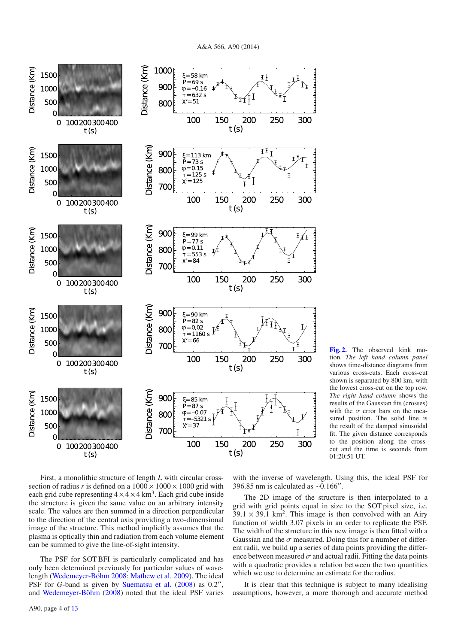<span id="page-4-2"></span>A&A 566, A90 (2014)

<span id="page-4-0"></span>

**[Fig. 2.](http://dexter.edpsciences.org/applet.php?DOI=10.1051/0004-6361/201423718&pdf_id=2)** The observed kink motion. *The left hand column panel* shows time-distance diagrams from various cross-cuts. Each cross-cut shown is separated by 800 km, with the lowest cross-cut on the top row. *The right hand column* shows the results of the Gaussian fits (crosses) with the  $\sigma$  error bars on the measured position. The solid line is the result of the damped sinusoidal fit. The given distance corresponds to the position along the crosscut and the time is seconds from 01:20:51 UT.

<span id="page-4-1"></span>First, a monolithic structure of length *L* with circular crosssection of radius *r* is defined on a  $1000 \times 1000 \times 1000$  grid with each grid cube representing  $4 \times 4 \times 4$  km<sup>3</sup>. Each grid cube inside the structure is given the same value on an arbitrary intensity scale. The values are then summed in a direction perpendicular to the direction of the central axis providing a two-dimensional image of the structure. This method implicitly assumes that the plasma is optically thin and radiation from each volume element can be summed to give the line-of-sight intensity.

<span id="page-4-3"></span>The PSF for SOT BFI is particularly complicated and has only been determined previously for particular values of wavelength [\(Wedemeyer-Böhm 2008;](#page-12-45) [Mathew et al. 2009](#page-12-46)). The ideal PSF for *G*-band is given by [Suematsu et al.](#page-12-36) [\(2008](#page-12-36)) as 0.2", and [Wedemeyer-Böhm](#page-12-45) [\(2008\)](#page-12-45) noted that the ideal PSF varies

A90, page 4 of [13](#page-12-22)

with the inverse of wavelength. Using this, the ideal PSF for 396.85 nm is calculated as ∼0.166′′ .

The 2D image of the structure is then interpolated to a grid with grid points equal in size to the SOT pixel size, i.e.  $39.1 \times 39.1$  km<sup>2</sup>. This image is then convolved with an Airy function of width 3.07 pixels in an order to replicate the PSF. The width of the structure in this new image is then fitted with a Gaussian and the  $\sigma$  measured. Doing this for a number of different radii, we build up a series of data points providing the difference between measured  $\sigma$  and actual radii. Fitting the data points with a quadratic provides a relation between the two quantities which we use to determine an estimate for the radius.

It is clear that this technique is subject to many idealising assumptions, however, a more thorough and accurate method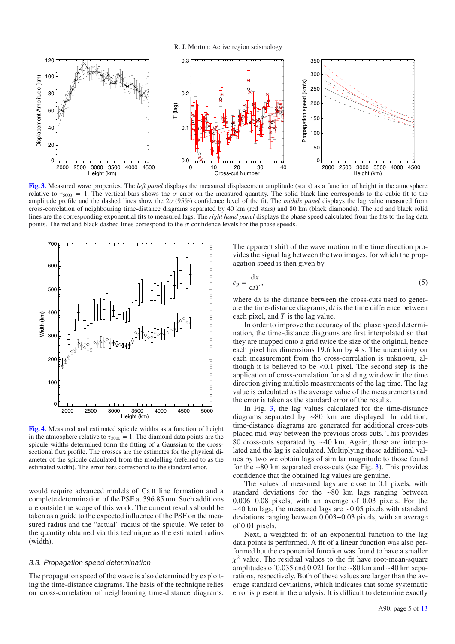<span id="page-5-11"></span><span id="page-5-3"></span>R. J. Morton: Active region seismology



<span id="page-5-8"></span><span id="page-5-2"></span><span id="page-5-0"></span>**[Fig. 3.](http://dexter.edpsciences.org/applet.php?DOI=10.1051/0004-6361/201423718&pdf_id=3)** Measured wave properties. The *left panel* displays the measured displacement amplitude (stars) as a function of height in the atmosphere relative to  $\tau_{5000}$  = 1. The vertical bars shows the  $\sigma$  error on the measured quantity. The solid black line corresponds to the cubic fit to the amplitude profile and the dashed lines show the 2σ (95%) confidence level of the fit. The *middle panel* displays the lag value measured from cross-correlation of neighbouring time-distance diagrams separated by 40 km (red stars) and 80 km (black diamonds). The red and black solid lines are the corresponding exponential fits to measured lags. The *right hand panel* displays the phase speed calculated from the fits to the lag data points. The red and black dashed lines correspond to the  $\sigma$  confidence levels for the phase speeds.



<span id="page-5-9"></span>**[Fig. 4.](http://dexter.edpsciences.org/applet.php?DOI=10.1051/0004-6361/201423718&pdf_id=4)** Measured and estimated spicule widths as a function of height in the atmosphere relative to  $\tau_{5000} = 1$ . The diamond data points are the spicule widths determined form the fitting of a Gaussian to the crosssectional flux profile. The crosses are the estimates for the physical diameter of the spicule calculated from the modelling (referred to as the estimated width). The error bars correspond to the standard error.

would require advanced models of Ca II line formation and a complete determination of the PSF at 396.85 nm. Such additions are outside the scope of this work. The current results should be taken as a guide to the expected influence of the PSF on the measured radius and the "actual" radius of the spicule. We refer to the quantity obtained via this technique as the estimated radius (width).

# 3.3. Propagation speed determination

The propagation speed of the wave is also determined by exploiting the time-distance diagrams. The basis of the technique relies on cross-correlation of neighbouring time-distance diagrams. <span id="page-5-10"></span><span id="page-5-5"></span><span id="page-5-4"></span><span id="page-5-1"></span>The apparent shift of the wave motion in the time direction provides the signal lag between the two images, for which the propagation speed is then given by

$$
c_{\rm p} = \frac{\mathrm{d}x}{\mathrm{d}t},\tag{5}
$$

<span id="page-5-6"></span>where d*x* is the distance between the cross-cuts used to generate the time-distance diagrams, d*t* is the time difference between each pixel, and *T* is the lag value.

<span id="page-5-7"></span>In order to improve the accuracy of the phase speed determination, the time-distance diagrams are first interpolated so that they are mapped onto a grid twice the size of the original, hence each pixel has dimensions 19.6 km by 4 s. The uncertainty on each measurement from the cross-correlation is unknown, although it is believed to be  $\leq 0.1$  pixel. The second step is the application of cross-correlation for a sliding window in the time direction giving multiple measurements of the lag time. The lag value is calculated as the average value of the measurements and the error is taken as the standard error of the results.

In Fig. [3,](#page-4-0) the lag values calculated for the time-distance diagrams separated by ∼80 km are displayed. In addition, time-distance diagrams are generated for additional cross-cuts placed mid-way between the previous cross-cuts. This provides 80 cross-cuts separated by ∼40 km. Again, these are interpolated and the lag is calculated. Multiplying these additional values by two we obtain lags of similar magnitude to those found for the ∼80 km separated cross-cuts (see Fig. [3\)](#page-4-0). This provides confidence that the obtained lag values are genuine.

The values of measured lags are close to 0.1 pixels, with standard deviations for the ∼80 km lags ranging between 0.006−0.08 pixels, with an average of 0.03 pixels. For the ∼40 km lags, the measured lags are ∼0.05 pixels with standard deviations ranging between 0.003−0.03 pixels, with an average of 0.01 pixels.

Next, a weighted fit of an exponential function to the lag data points is performed. A fit of a linear function was also performed but the exponential function was found to have a smaller  $\chi^2$  value. The residual values to the fit have root-mean-square amplitudes of 0.035 and 0.021 for the ∼80 km and ∼40 km separations, respectively. Both of these values are larger than the average standard deviations, which indicates that some systematic error is present in the analysis. It is difficult to determine exactly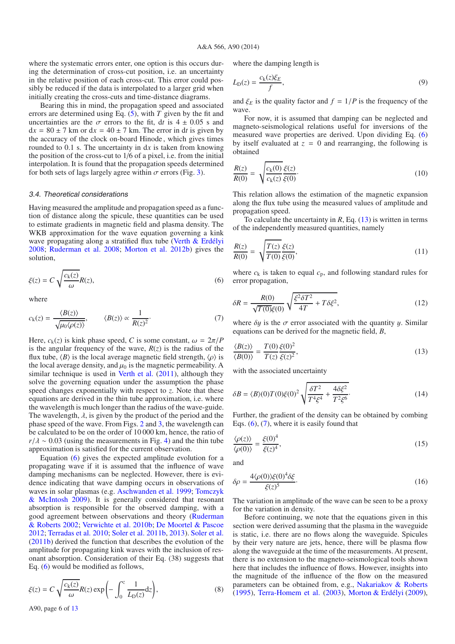where the systematic errors enter, one option is this occurs during the determination of cross-cut position, i.e. an uncertainty in the relative position of each cross-cut. This error could possibly be reduced if the data is interpolated to a larger grid when initially creating the cross-cuts and time-distance diagrams.

Bearing this in mind, the propagation speed and associated errors are determined using Eq. [\(5\)](#page-4-2), with *T* given by the fit and uncertainties are the  $\sigma$  errors to the fit, dt is  $4 \pm 0.05$  s and  $dx = 80 \pm 7$  km or  $dx = 40 \pm 7$  km. The error in dt is given by the accuracy of the clock on-board Hinode , which gives times rounded to 0.1 s. The uncertainty in d*x* is taken from knowing the position of the cross-cut to 1/6 of a pixel, i.e. from the initial interpolation. It is found that the propagation speeds determined for both sets of lags largely agree within  $\sigma$  errors (Fig. [3\)](#page-4-0).

#### 3.4. Theoretical considerations

<span id="page-6-0"></span>Having measured the amplitude and propagation speed as a function of distance along the spicule, these quantities can be used to estimate gradients in magnetic field and plasma density. The WKB approximation for the wave equation governing a kink wave propagating along a stratified flux tube [\(Verth & Erdélyi](#page-12-47) [2008;](#page-12-47) [Ruderman et al. 2008](#page-12-48); [Morton et al. 2012b](#page-12-33)) gives the solution,

$$
\xi(z) = C \sqrt{\frac{c_k(z)}{\omega}} R(z),\tag{6}
$$

where

$$
c_{k}(z) = \frac{\langle B(z) \rangle}{\sqrt{\mu_{0} \langle \rho(z) \rangle}}, \qquad \langle B(z) \rangle \propto \frac{1}{R(z)^{2}}.
$$
 (7)

Here,  $c_k(z)$  is kink phase speed, *C* is some constant,  $\omega = 2\pi/P$ is the angular frequency of the wave,  $R(z)$  is the radius of the flux tube,  $\langle B \rangle$  is the local average magnetic field strength,  $\langle \rho \rangle$  is the local average density, and  $\mu_0$  is the magnetic permeability. A similar technique is used in [Verth et al.](#page-12-28) [\(2011\)](#page-12-28), although they solve the governing equation under the assumption the phase speed changes exponentially with respect to *z*. Note that these equations are derived in the thin tube approximation, i.e. where the wavelength is much longer than the radius of the wave-guide. The wavelength,  $\lambda$ , is given by the product of the period and the phase speed of the wave. From Figs. [2](#page-3-0) and [3,](#page-4-0) the wavelength can be calculated to be on the order of 10 000 km, hence, the ratio of  $r/\lambda \sim 0.03$  (using the measurements in Fig. [4\)](#page-4-1) and the thin tube approximation is satisfied for the current observation.

Equation [\(6\)](#page-5-0) gives the expected amplitude evolution for a propagating wave if it is assumed that the influence of wave damping mechanisms can be neglected. However, there is evidence indicating that wave damping occurs in observations of waves in solar plasmas (e.g. [Aschwanden et al. 1999](#page-11-6)[;](#page-12-49) Tomczyk & McIntosh [2009](#page-12-49)). It is generally considered that resonant absorption is responsible for the observed damping, with a good agr[eement between observations and theory \(](#page-12-50)Ruderman & Roberts [2002](#page-12-50); [Verwichte et al. 2010b](#page-12-51); [De Moortel & Pascoe](#page-11-12) [2012;](#page-11-12) [Terradas et al. 2010](#page-12-52); [Soler et al. 2011b,](#page-12-53) [2013\)](#page-12-54). [Soler et al.](#page-12-53) [\(2011b](#page-12-53)) derived the function that describes the evolution of the amplitude for propagating kink waves with the inclusion of resonant absorption. Consideration of their Eq. (38) suggests that Eq. [\(6\)](#page-5-0) would be modified as follows,

<span id="page-6-1"></span>
$$
\xi(z) = C \sqrt{\frac{c_k(z)}{\omega}} R(z) \exp\left(-\int_0^z \frac{1}{L_D(z)} dz\right),\tag{8}
$$

A90, page 6 of [13](#page-12-22)

where the damping length is

$$
L_{\mathcal{D}}(z) = \frac{c_{\mathcal{K}}(z)\xi_E}{f},\tag{9}
$$

and  $\xi_E$  is the quality factor and  $f = 1/P$  is the frequency of the wave.

For now, it is assumed that damping can be neglected and magneto-seismological relations useful for inversions of the measured wave properties are derived. Upon dividing Eq. [\(6\)](#page-5-0) by itself evaluated at  $z = 0$  and rearranging, the following is obtained

$$
\frac{R(z)}{R(0)} = \sqrt{\frac{c_k(0)}{c_k(z)}} \frac{\xi(z)}{\xi(0)}.\tag{10}
$$

This relation allows the estimation of the magnetic expansion along the flux tube using the measured values of amplitude and propagation speed.

To calculate the uncertainty in  $R$ , Eq.  $(13)$  is written in terms of the independently measured quantities, namely

$$
\frac{R(z)}{R(0)} = \sqrt{\frac{T(z)}{T(0)}\frac{\xi(z)}{\xi(0)}},
$$
\n(11)

where  $c_k$  is taken to equal  $c_p$ , and following standard rules for error propagation,

$$
\delta R = \frac{R(0)}{\sqrt{T(0)}\xi(0)} \sqrt{\frac{\xi^2 \delta T^2}{4T} + T\delta \xi^2},\tag{12}
$$

where  $\delta y$  is the  $\sigma$  error associated with the quantity y. Similar equations can be derived for the magnetic field, *B*,

$$
\frac{\langle B(z)\rangle}{\langle B(0)\rangle} = \frac{T(0)}{T(z)} \frac{\xi(0)^2}{\xi(z)^2},\tag{13}
$$

with the associated uncertainty

$$
\delta B = \langle B \rangle(0) T(0) \xi(0)^2 \sqrt{\frac{\delta T^2}{T^4 \xi^4} + \frac{4 \delta \xi^2}{T^2 \xi^6}}.
$$
 (14)

Further, the gradient of the density can be obtained by combing Eqs.  $(6)$ ,  $(7)$ , where it is easily found that

$$
\frac{\langle \rho(z) \rangle}{\langle \rho(0) \rangle} = \frac{\xi(0)^4}{\xi(z)^4},\tag{15}
$$

and

$$
\delta \rho = \frac{4 \langle \rho(0) \rangle \xi(0)^4 \delta \xi}{\xi(z)^5}.
$$
\n(16)

The variation in amplitude of the wave can be seen to be a proxy for the variation in density.

Before continuing, we note that the equations given in this section were derived assuming that the plasma in the waveguide is static, i.e. there are no flows along the waveguide. Spicules by their very nature are jets, hence, there will be plasma flow along the waveguide at the time of the measurements. At present, there is no extension to the magneto-seismological tools shown here that includes the influence of flows. However, insights into the magnitude of the influence of the flow on the measured parameters can be obtained from, e.g., [Nakariakov & Roberts](#page-12-55) [\(1995\)](#page-12-55), [Terra-Homem et al.](#page-12-56) [\(2003](#page-12-56)), [Morton & Erdélyi](#page-12-57) [\(2009\)](#page-12-57),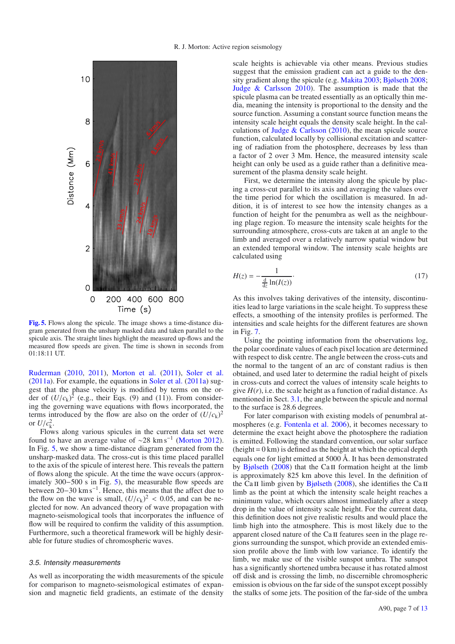

**[Fig. 5.](http://dexter.edpsciences.org/applet.php?DOI=10.1051/0004-6361/201423718&pdf_id=5)** Flows along the spicule. The image shows a time-distance diagram generated from the unsharp masked data and taken parallel to the spicule axis. The straight lines highlight the measured up-flows and the measured flow speeds are given. The time is shown in seconds from 01:18:11 UT.

[Ruderman](#page-12-58) [\(2010](#page-12-58), [2011\)](#page-12-59), [Morton et al.](#page-12-60) [\(2011](#page-12-60)), [Soler et al.](#page-12-61) [\(2011a\)](#page-12-61). For example, the equations in [Soler et al.](#page-12-61) [\(2011a\)](#page-12-61) suggest that the phase velocity is modified by terms on the order of  $(U/c_k)^2$  (e.g., their Eqs. (9) and (11)). From considering the governing wave equations with flows incorporated, the terms introduced by the flow are also on the order of  $(U/c<sub>k</sub>)<sup>2</sup>$ or  $U/c<sub>k</sub><sup>2</sup>$ .

Flows along various spicules in the current data set were found to have an average value of  $\sim$ 28 km s<sup>-1</sup> [\(Morton 2012\)](#page-12-34). In Fig. [5,](#page-6-0) we show a time-distance diagram generated from the unsharp-masked data. The cross-cut is this time placed parallel to the axis of the spicule of interest here. This reveals the pattern of flows along the spicule. At the time the wave occurs (approximately 300−500 s in Fig. [5\)](#page-6-0), the measurable flow speeds are between 20–30 km s<sup>-1</sup>. Hence, this means that the affect due to the flow on the wave is small,  $(U/c_k)^2 < 0.05$ , and can be neglected for now. An advanced theory of wave propagation with magneto-seismological tools that incorporates the influence of flow will be required to confirm the validity of this assumption. Furthermore, such a theoretical framework will be highly desirable for future studies of chromospheric waves.

# 3.5. Intensity measurements

As well as incorporating the width measurements of the spicule for comparison to magneto-seismological estimates of expansion and magnetic field gradients, an estimate of the density scale heights is achievable via other means. Previous studies suggest that the emission gradient can act a guide to the density gradient along the spicule (e.g. [Makita 2003](#page-12-62); [Bjølseth 2008;](#page-11-13) [Judge & Carlsson 2010](#page-12-63)). The assumption is made that the spicule plasma can be treated essentially as an optically thin media, meaning the intensity is proportional to the density and the source function. Assuming a constant source function means the intensity scale height equals the density scale height. In the calculations of Judge  $&$  Carlsson [\(2010](#page-12-63)), the mean spicule source function, calculated locally by collisional excitation and scattering of radiation from the photosphere, decreases by less than a factor of 2 over 3 Mm. Hence, the measured intensity scale height can only be used as a guide rather than a definitive measurement of the plasma density scale height.

<span id="page-7-0"></span>First, we determine the intensity along the spicule by placing a cross-cut parallel to its axis and averaging the values over the time period for which the oscillation is measured. In addition, it is of interest to see how the intensity changes as a function of height for the penumbra as well as the neighbouring plage region. To measure the intensity scale heights for the surrounding atmosphere, cross-cuts are taken at an angle to the limb and averaged over a relatively narrow spatial window but an extended temporal window. The intensity scale heights are calculated using

$$
H(z) = -\frac{1}{\frac{d}{dz}\ln(I(z))}.
$$
 (17)

As this involves taking derivatives of the intensity, discontinuities lead to large variations in the scale height. To suppress these effects, a smoothing of the intensity profiles is performed. The intensities and scale heights for the different features are shown in Fig. [7.](#page-8-0)

Using the pointing information from the observations log, the polar coordinate values of each pixel location are determined with respect to disk centre. The angle between the cross-cuts and the normal to the tangent of an arc of constant radius is then obtained, and used later to determine the radial height of pixels in cross-cuts and correct the values of intensity scale heights to give  $H(r)$ , i.e. the scale height as a function of radial distance. As mentioned in Sect. [3.1,](#page-2-0) the angle between the spicule and normal to the surface is 28.6 degrees.

For later comparison with existing models of penumbral atmospheres (e.g. [Fontenla et al. 2006](#page-12-64)), it becomes necessary to determine the exact height above the photosphere the radiation is emitted. Following the standard convention, our solar surface  $(height = 0 \text{ km})$  is defined as the height at which the optical depth equals one for light emitted at 5000 Å. It has been demonstrated by [Bjølseth](#page-11-13)  $(2008)$  that the Ca II formation height at the limb is approximately 825 km above this level. In the definition of the Ca II limb given by [Bjølseth](#page-11-13) [\(2008\)](#page-11-13), she identifies the Ca II limb as the point at which the intensity scale height reaches a minimum value, which occurs almost immediately after a steep drop in the value of intensity scale height. For the current data, this definition does not give realistic results and would place the limb high into the atmosphere. This is most likely due to the apparent closed nature of the Ca II features seen in the plage regions surrounding the sunspot, which provide an extended emission profile above the limb with low variance. To identify the limb, we make use of the visible sunspot umbra. The sunspot has a significantly shortened umbra because it has rotated almost off disk and is crossing the limb, no discernible chromospheric emission is obvious on the far side of the sunspot except possibly the stalks of some jets. The position of the far-side of the umbra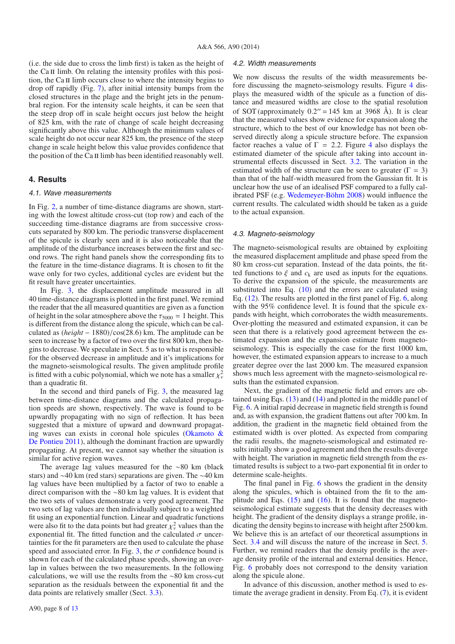<span id="page-8-1"></span>(i.e. the side due to cross the limb first) is taken as the height of the Ca II limb. On relating the intensity profiles with this position, the Ca II limb occurs close to where the intensity begins to drop off rapidly (Fig. [7\)](#page-8-0), after initial intensity bumps from the closed structures in the plage and the bright jets in the penumbral region. For the intensity scale heights, it can be seen that the steep drop off in scale height occurs just below the height of 825 km, with the rate of change of scale height decreasing significantly above this value. Although the minimum values of scale height do not occur near 825 km, the presence of the steep change in scale height below this value provides confidence that the position of the Ca II limb has been identified reasonably well.

# **4. Results**

#### 4.1. Wave measurements

In Fig. [2,](#page-3-0) a number of time-distance diagrams are shown, starting with the lowest altitude cross-cut (top row) and each of the succeeding time-distance diagrams are from successive crosscuts separated by 800 km. The periodic transverse displacement of the spicule is clearly seen and it is also noticeable that the amplitude of the disturbance increases between the first and second rows. The right hand panels show the corresponding fits to the feature in the time-distance diagrams. It is chosen to fit the wave only for two cycles, additional cycles are evident but the fit result have greater uncertainties.

<span id="page-8-0"></span>In Fig. [3,](#page-4-0) the displacement amplitude measured in all 40 time-distance diagrams is plotted in the first panel. We remind the reader that the all measured quantities are given as a function of height in the solar atmosphere above the  $\tau_{5000} = 1$  height. This is different from the distance along the spicule, which can be calculated as (*hei*g*ht* − 1880)/cos(28.6) km. The amplitude can be seen to increase by a factor of two over the first 800 km, then begins to decrease. We speculate in Sect. 5 as to what is responsible for the observed decrease in amplitude and it's implications for the magneto-seismological results. The given amplitude profile is fitted with a cubic polynomial, which we note has a smaller  $\chi^2_\nu$ than a quadratic fit.

In the second and third panels of Fig. [3,](#page-4-0) the measured lag between time-distance diagrams and the calculated propagation speeds are shown, respectively. The wave is found to be upwardly propagating with no sign of reflection. It has been suggested that a mixture of upward and downward propagating waves [can exists in coronal hole spicules \(](#page-12-26)Okamoto  $\&$ De Pontieu [2011](#page-12-26)), although the dominant fraction are upwardly propagating. At present, we cannot say whether the situation is similar for active region waves.

The average lag values measured for the ∼80 km (black stars) and ∼40 km (red stars) separations are given. The ∼40 km lag values have been multiplied by a factor of two to enable a direct comparison with the ∼80 km lag values. It is evident that the two sets of values demonstrate a very good agreement. The two sets of lag values are then individually subject to a weighted fit using an exponential function. Linear and quadratic functions were also fit to the data points but had greater  $\chi^2_{\nu}$  values than the exponential fit. The fitted function and the calculated  $\sigma$  uncertainties for the fit parameters are then used to calculate the phase speed and associated error. In Fig. [3,](#page-4-0) the  $\sigma$  confidence bound is shown for each of the calculated phase speeds, showing an overlap in values between the two measurements. In the following calculations, we will use the results from the ∼80 km cross-cut separation as the residuals between the exponential fit and the data points are relatively smaller (Sect. [3.3\)](#page-4-3).

# 4.2. Width measurements

We now discuss the results of the width measurements before discussing the magneto-seismology results. Figure [4](#page-4-1) displays the measured width of the spicule as a function of distance and measured widths are close to the spatial resolution of SOT (approximately  $0.2'' = 145$  km at 3968 Å). It is clear that the measured values show evidence for expansion along the structure, which to the best of our knowledge has not been observed directly along a spicule structure before. The expansion factor reaches a value of  $\Gamma = 2.2$ . Figure [4](#page-4-1) also displays the estimated diameter of the spicule after taking into account instrumental effects discussed in Sect. [3.2.](#page-2-1) The variation in the estimated width of the structure can be seen to greater ( $\Gamma = 3$ ) than that of the half-width measured from the Gaussian fit. It is unclear how the use of an idealised PSF compared to a fully calibrated PSF (e.g. [Wedemeyer-Böhm 2008\)](#page-12-45) would influence the current results. The calculated width should be taken as a guide to the actual expansion.

# 4.3. Magneto-seismology

The magneto-seismological results are obtained by exploiting the measured displacement amplitude and phase speed from the 80 km cross-cut separation. Instead of the data points, the fitted functions to  $\xi$  and  $c_k$  are used as inputs for the equations. To derive the expansion of the spicule, the measurements are substituted into Eq. [\(10\)](#page-5-3) and the errors are calculated using Eq. [\(12\)](#page-5-4). The results are plotted in the first panel of Fig. [6,](#page-8-1) along with the 95% confidence level. It is found that the spicule expands with height, which corroborates the width measurements. Over-plotting the measured and estimated expansion, it can be seen that there is a relatively good agreement between the estimated expansion and the expansion estimate from magnetoseismology. This is especially the case for the first 1000 km, however, the estimated expansion appears to increase to a much greater degree over the last 2000 km. The measured expansion shows much less agreement with the magneto-seismological results than the estimated expansion.

Next, the gradient of the magnetic field and errors are obtained using Eqs. [\(13\)](#page-5-1) and [\(14\)](#page-5-5) and plotted in the middle panel of Fig. [6.](#page-8-1) A initial rapid decrease in magnetic field strength is found and, as with expansion, the gradient flattens out after 700 km. In addition, the gradient in the magnetic field obtained from the estimated width is over plotted. As expected from comparing the radii results, the magneto-seismological and estimated results initially show a good agreement and then the results diverge with height. The variation in magnetic field strength from the estimated results is subject to a two-part exponential fit in order to determine scale-heights.

The final panel in Fig. [6](#page-8-1) shows the gradient in the density along the spicules, which is obtained from the fit to the amplitude and Eqs.  $(15)$  and  $(16)$ . It is found that the magnetoseismological estimate suggests that the density decreases with height. The gradient of the density displays a strange profile, indicating the density begins to increase with height after 2500 km. We believe this is an artefact of our theoretical assumptions in Sect. [3.4](#page-5-8) and will discuss the nature of the increase in Sect. [5.](#page-9-0) Further, we remind readers that the density profile is the average density profile of the internal and external densities. Hence, Fig. [6](#page-8-1) probably does not correspond to the density variation along the spicule alone.

In advance of this discussion, another method is used to estimate the average gradient in density. From Eq. [\(7\)](#page-5-2), it is evident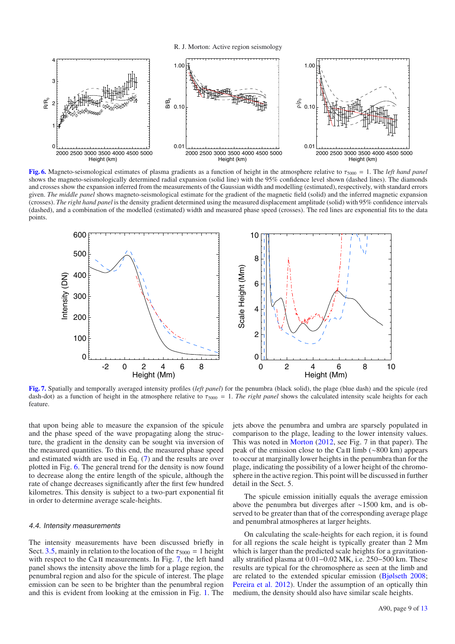R. J. Morton: Active region seismology

<span id="page-9-0"></span>

**[Fig. 6.](http://dexter.edpsciences.org/applet.php?DOI=10.1051/0004-6361/201423718&pdf_id=6)** Magneto-seismological estimates of plasma gradients as a function of height in the atmosphere relative to  $\tau_{5000} = 1$ . The *left hand panel* shows the magneto-seismologically determined radial expansion (solid line) with the 95% confidence level shown (dashed lines). The diamonds and crosses show the expansion inferred from the measurements of the Gaussian width and modelling (estimated), respectively, with standard errors given. *The middle panel* shows magneto-seismological estimate for the gradient of the magnetic field (solid) and the inferred magnetic expansion (crosses). *The right hand panel* is the density gradient determined using the measured displacement amplitude (solid) with 95% confidence intervals (dashed), and a combination of the modelled (estimated) width and measured phase speed (crosses). The red lines are exponential fits to the data points.



**[Fig. 7.](http://dexter.edpsciences.org/applet.php?DOI=10.1051/0004-6361/201423718&pdf_id=7)** Spatially and temporally averaged intensity profiles (*left panel*) for the penumbra (black solid), the plage (blue dash) and the spicule (red dash-dot) as a function of height in the atmosphere relative to  $\tau_{5000} = 1$ . *The right panel* shows the calculated intensity scale heights for each feature.

that upon being able to measure the expansion of the spicule and the phase speed of the wave propagating along the structure, the gradient in the density can be sought via inversion of the measured quantities. To this end, the measured phase speed and estimated width are used in Eq. [\(7\)](#page-5-2) and the results are over plotted in Fig. [6.](#page-8-1) The general trend for the density is now found to decrease along the entire length of the spicule, although the rate of change decreases significantly after the first few hundred kilometres. This density is subject to a two-part exponential fit in order to determine average scale-heights.

# 4.4. Intensity measurements

The intensity measurements have been discussed briefly in Sect. [3.5,](#page-6-1) mainly in relation to the location of the  $\tau_{5000} = 1$  height with respect to the Ca  $\pi$  measurements. In Fig. [7,](#page-8-0) the left hand panel shows the intensity above the limb for a plage region, the penumbral region and also for the spicule of interest. The plage emission can be seen to be brighter than the penumbral region and this is evident from looking at the emission in Fig. [1.](#page-1-0) The jets above the penumbra and umbra are sparsely populated in comparison to the plage, leading to the lower intensity values. This was noted in [Morton](#page-12-34) [\(2012](#page-12-34), see Fig. 7 in that paper). The peak of the emission close to the Ca  $\text{II}$  limb (∼800 km) appears to occur at marginally lower heights in the penumbra than for the plage, indicating the possibility of a lower height of the chromosphere in the active region. This point will be discussed in further detail in the Sect. 5.

The spicule emission initially equals the average emission above the penumbra but diverges after ∼1500 km, and is observed to be greater than that of the corresponding average plage and penumbral atmospheres at larger heights.

On calculating the scale-heights for each region, it is found for all regions the scale height is typically greater than 2 Mm which is larger than the predicted scale heights for a gravitationally stratified plasma at 0.01−0.02 MK, i.e. 250−500 km. These results are typical for the chromosphere as seen at the limb and are related to the extended spicular emission [\(Bjølseth 2008;](#page-11-13) [Pereira et al. 2012\)](#page-12-65). Under the assumption of an optically thin medium, the density should also have similar scale heights.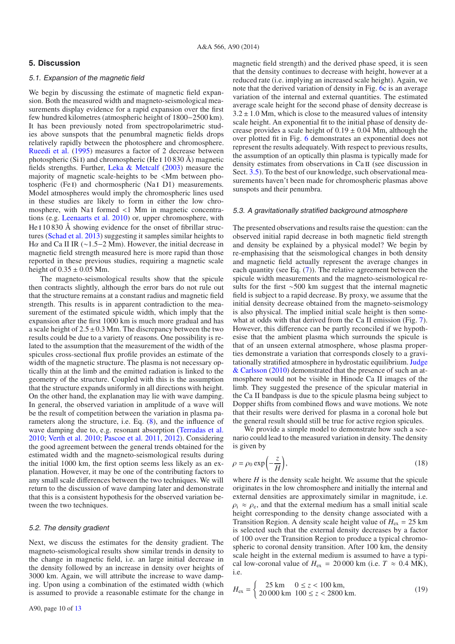# **5. Discussion**

# 5.1. Expansion of the magnetic field

<span id="page-10-0"></span>We begin by discussing the estimate of magnetic field expansion. Both the measured width and magneto-seismological measurements display evidence for a rapid expansion over the first few hundred kilometres (atmospheric height of 1800−2500 km). It has been previously noted from spectropolarimetric studies above sunspots that the penumbral magnetic fields drops relatively rapidly between the photosphere and chromosphere. [Rueedi et al.](#page-12-66) [\(1995\)](#page-12-66) measures a factor of 2 decrease between photospheric (Si I) and chromospheric (He I  $10\,830\,\text{\AA}$ ) magnetic fields strengths. Further, [Leka & Metcalf](#page-12-67) [\(2003\)](#page-12-67) measure the majority of magnetic scale-heights to be <Mm between photospheric (Fe I) and chormospheric (Na I D1) measurements. Model atmospheres would imply the chromospheric lines used in these studies are likely to form in either the low chromosphere, with Na<sub>I</sub> formed  $\langle$ 1 Mm in magnetic concentrations (e.g. [Leenaarts et al. 2010\)](#page-12-68) or, upper chromosphere, with He  $110830$  Å showing evidence for the onset of fibrillar structures [\(Schad et al. 2013](#page-12-69)) suggesting it samples similar heights to H $\alpha$  and Ca II IR (∼1.5–2 Mm). However, the initial decrease in magnetic field strength measured here is more rapid than those reported in these previous studies, requiring a magnetic scale height of  $0.35 \pm 0.05$  Mm.

The magneto-seismological results show that the spicule then contracts slightly, although the error bars do not rule out that the structure remains at a constant radius and magnetic field strength. This results is in apparent contradiction to the measurement of the estimated spicule width, which imply that the expansion after the first 1000 km is much more gradual and has a scale height of  $2.5 \pm 0.3$  Mm. The discrepancy between the two results could be due to a variety of reasons. One possibility is related to the assumption that the measurement of the width of the spicules cross-sectional flux profile provides an estimate of the width of the magnetic structure. The plasma is not necessary optically thin at the limb and the emitted radiation is linked to the geometry of the structure. Coupled with this is the assumption that the structure expands uniformly in all directions with height. On the other hand, the explanation may lie with wave damping. In general, the observed variation in amplitude of a wave will be the result of competition between the variation in plasma parameters along the structure, i.e. Eq. [\(8\)](#page-5-9), and the influence of wave damping due to, e.g. resonant absorption [\(Terradas et al.](#page-12-52) [2010;](#page-12-52) [Verth et al. 2010;](#page-12-70) [Pascoe et al. 2011,](#page-12-71) [2012](#page-12-72)). Considering the good agreement between the general trends obtained for the estimated width and the magneto-seismological results during the initial 1000 km, the first option seems less likely as an explanation. However, it may be one of the contributing factors to any small scale differences between the two techniques. We will return to the discussion of wave damping later and demonstrate that this is a consistent hypothesis for the observed variation between the two techniques.

# 5.2. The density gradient

Next, we discuss the estimates for the density gradient. The magneto-seismological results show similar trends in density to the change in magnetic field, i.e. an large initial decrease in the density followed by an increase in density over heights of 3000 km. Again, we will attribute the increase to wave damping. Upon using a combination of the estimated width (which is assumed to provide a reasonable estimate for the change in <span id="page-10-1"></span>magnetic field strength) and the derived phase speed, it is seen that the density continues to decrease with height, however at a reduced rate (i.e. implying an increased scale height). Again, we note that the derived variation of density in Fig. [6c](#page-8-1) is an average variation of the internal and external quantities. The estimated average scale height for the second phase of density decrease is  $3.2 \pm 1.0$  Mm, which is close to the measured values of intensity scale height. An exponential fit to the initial phase of density decrease provides a scale height of  $0.19 \pm 0.04$  Mm, although the over plotted fit in Fig. [6](#page-8-1) demonstrates an exponential does not represent the results adequately. With respect to previous results, the assumption of an optically thin plasma is typically made for density estimates from observations in Ca II (see discussion in Sect. [3.5\)](#page-6-1). To the best of our knowledge, such observational measurements haven't been made for chromospheric plasmas above sunspots and their penumbra.

# 5.3. A gravitationally stratified background atmosphere

The presented observations and results raise the question: can the observed initial rapid decrease in both magnetic field strength and density be explained by a physical model? We begin by re-emphasising that the seismological changes in both density and magnetic field actually represent the average changes in each quantity (see Eq. [\(7\)](#page-5-2)). The relative agreement between the spicule width measurements and the magneto-seismological results for the first ∼500 km suggest that the internal magnetic field is subject to a rapid decrease. By proxy, we assume that the initial density decrease obtained from the magneto-seismology is also physical. The implied initial scale height is then some-what at odds with that derived from the Ca II emission (Fig. [7\)](#page-8-0). However, this difference can be partly reconciled if we hypothesise that the ambient plasma which surrounds the spicule is that of an unseen external atmosphere, whose plasma properties demonstrate a variation that corresponds closely to a gravitationally s[tratified atmosphere in hydrostatic equilibrium.](#page-12-63) Judge & Carlsson [\(2010](#page-12-63)) demonstrated that the presence of such an atmosphere would not be visible in Hinode Ca II images of the limb. They suggested the presence of the spicular material in the Ca II bandpass is due to the spicule plasma being subject to Dopper shifts from combined flows and wave motions. We note that their results were derived for plasma in a coronal hole but the general result should still be true for active region spicules.

We provide a simple model to demonstrate how such a scenario could lead to the measured variation in density. The density is given by

$$
\rho = \rho_0 \exp\left(-\frac{z}{H}\right),\tag{18}
$$

where  $H$  is the density scale height. We assume that the spicule originates in the low chromosphere and initially the internal and external densities are approximately similar in magnitude, i.e.  $\rho_i \approx \rho_e$ , and that the external medium has a small initial scale height corresponding to the density change associated with a Transition Region. A density scale height value of  $H_{\text{ex}} = 25 \text{ km}$ is selected such that the external density decreases by a factor of 100 over the Transition Region to produce a typical chromospheric to coronal density transition. After 100 km, the density scale height in the external medium is assumed to have a typical low-coronal value of  $H_{\text{ex}} = 20000 \text{ km}$  (i.e.  $T \approx 0.4 \text{ MK}$ ), i.e.

$$
H_{\rm ex} = \begin{cases} 25 \, \text{km} & 0 \le z < 100 \, \text{km}, \\ 20000 \, \text{km} & 100 \le z < 2800 \, \text{km}. \end{cases} \tag{19}
$$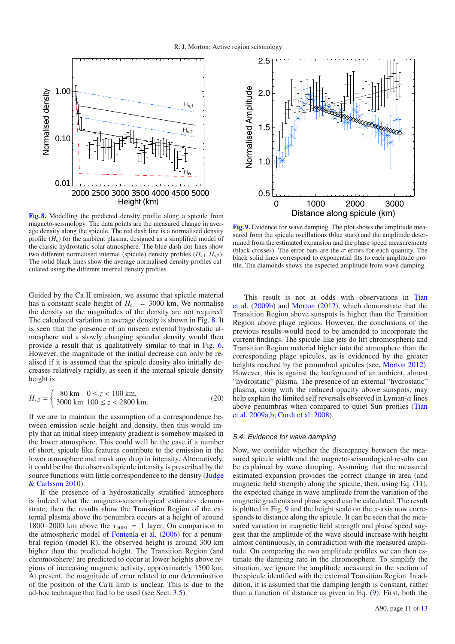

**[Fig. 8.](http://dexter.edpsciences.org/applet.php?DOI=10.1051/0004-6361/201423718&pdf_id=8)** Modelling the predicted density profile along a spicule from magneto-seismology. The data points are the measured change in average density along the spicule. The red dash line is a normalised density profile  $(H_e)$  for the ambient plasma, designed as a simplified model of the classic hydrostatic solar atmosphere. The blue dash-dot lines show two different normalised internal (spicule) density profiles  $(H_{s,1}, H_{s,2})$ . The solid black lines show the average normalised density profiles calculated using the different internal density profiles.

Guided by the Ca II emission, we assume that spicule material has a constant scale height of  $H_{s,1} = 3000$  km. We normalise the density so the magnitudes of the density are not required. The calculated variation in average density is shown in Fig. [8.](#page-10-0) It is seen that the presence of an unseen external hydrostatic atmosphere and a slowly changing spicular density would then provide a result that is qualitatively similar to that in Fig. [6.](#page-8-1) However, the magnitude of the initial decrease can only be realised if it is assumed that the spicule density also initially decreases relatively rapidly, as seen if the internal spicule density height is

$$
H_{s,2} = \begin{cases} 80 \text{ km} & 0 \le z < 100 \text{ km,} \\ 3000 \text{ km} & 100 \le z < 2800 \text{ km.} \end{cases}
$$
 (20)

If we are to maintain the assumption of a correspondence between emission scale height and density, then this would imply that an initial steep intensity gradient is somehow masked in the lower atmosphere. This could well be the case if a number of short, spicule like features contribute to the emission in the lower atmosphere and mask any drop in intensity. Alternatively, it could be that the observed spicule intensity is prescribed by the source fun[ctions with little correspondence to the density \(](#page-12-63)Judge & Carlsson [2010](#page-12-63)).

If the presence of a hydrostatically stratified atmosphere is indeed what the magneto-seismological estimates demonstrate, then the results show the Transition Region of the external plasma above the penumbra occurs at a height of around 1800−2000 km above the  $\tau_{5000} = 1$  layer. On comparison to the atmospheric model of [Fontenla et al.](#page-12-64) [\(2006](#page-12-64)) for a penumbral region (model R), the observed height is around 300 km higher than the predicted height. The Transition Region (and chromosphere) are predicted to occur at lower heights above regions of increasing magnetic activity, approximately 1500 km. At present, the magnitude of error related to our determination of the position of the Ca  $II$  limb is unclear. This is due to the ad-hoc technique that had to be used (see Sect. [3.5\)](#page-6-1).



**[Fig. 9.](http://dexter.edpsciences.org/applet.php?DOI=10.1051/0004-6361/201423718&pdf_id=9)** Evidence for wave damping. The plot shows the amplitude measured from the spicule oscillations (blue stars) and the amplitude determined from the estimated expansion and the phase speed measurements (black crosses). The error bars are the  $\sigma$  errors for each quantity. The black solid lines correspond to exponential fits to each amplitude profile. The diamonds shows the expected amplitude from wave damping.

[This result is not at odds with observations in](#page-12-38) Tian et al. [\(2009b](#page-12-38)) and [Morton](#page-12-34) [\(2012\)](#page-12-34), which demonstrate that the Transition Region above sunspots is higher than the Transition Region above plage regions. However, the conclusions of the previous results would need to be amended to incorporate the current findings. The spicule-like jets do lift chromospheric and Transition Region material higher into the atmosphere than the corresponding plage spicules, as is evidenced by the greater heights reached by the penumbral spicules (see, [Morton 2012\)](#page-12-34). However, this is against the background of an ambient, almost "hydrostatic" plasma. The presence of an external "hydrostatic" plasma, along with the reduced opacity above sunspots, may help explain the limited self reversals observed in Lyman- $\alpha$  lines abov[e penumbras when compared to quiet Sun profiles \(](#page-12-73)Tian et al. [2009a](#page-12-73)[,b](#page-12-38); [Curdt et al. 2008\)](#page-11-14).

## 5.4. Evidence for wave damping

<span id="page-11-15"></span><span id="page-11-14"></span><span id="page-11-13"></span><span id="page-11-12"></span><span id="page-11-11"></span><span id="page-11-10"></span><span id="page-11-9"></span><span id="page-11-8"></span><span id="page-11-7"></span><span id="page-11-6"></span><span id="page-11-5"></span><span id="page-11-4"></span><span id="page-11-3"></span><span id="page-11-2"></span><span id="page-11-1"></span><span id="page-11-0"></span>Now, we consider whether the discrepancy between the measured spicule width and the magneto-seismological results can be explained by wave damping. Assuming that the measured estimated expansion provides the correct change in area (and magnetic field strength) along the spicule, then, using Eq.  $(11)$ , the expected change in wave amplitude from the variation of the magnetic gradients and phase speed can be calculated. The result is plotted in Fig. [9](#page-10-1) and the height scale on the *x*-axis now corresponds to distance along the spicule. It can be seen that the measured variation in magnetic field strength and phase speed suggest that the amplitude of the wave should increase with height almost continuously, in contradiction with the measured amplitude. On comparing the two amplitude profiles we can then estimate the damping rate in the chromosphere. To simplify the situation, we ignore the amplitude measured in the section of the spicule identified with the external Transition Region. In addition, it is assumed that the damping length is constant, rather than a function of distance as given in Eq. [\(9\)](#page-5-11). First, both the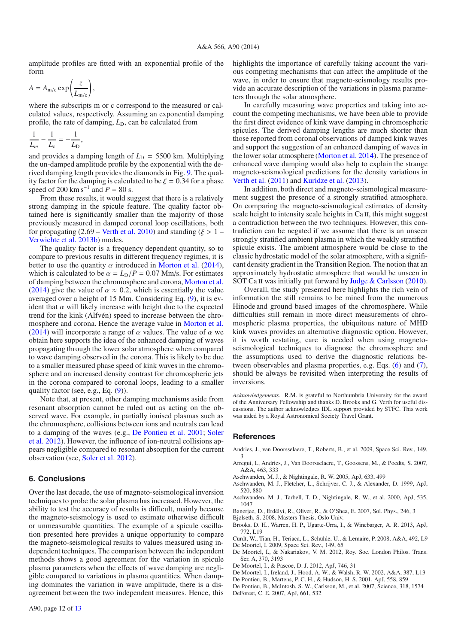<span id="page-12-22"></span><span id="page-12-21"></span><span id="page-12-11"></span>amplitude profiles are fitted with an exponential profile of the form

<span id="page-12-64"></span><span id="page-12-23"></span><span id="page-12-14"></span>
$$
A = A_{\mathrm{m/c}} \exp\left(\frac{z}{L_{\mathrm{m/c}}}\right),
$$

<span id="page-12-63"></span><span id="page-12-31"></span><span id="page-12-24"></span><span id="page-12-3"></span>where the subscripts m or c correspond to the measured or calculated values, respectively. Assuming an exponential damping profile, the rate of damping,  $L<sub>D</sub>$ , can be calculated from

<span id="page-12-43"></span><span id="page-12-37"></span>
$$
\frac{1}{L_m} - \frac{1}{L_c} = -\frac{1}{L_D},
$$

<span id="page-12-68"></span><span id="page-12-67"></span><span id="page-12-29"></span><span id="page-12-27"></span>and provides a damping length of  $L<sub>D</sub> = 5500$  km. Multiplying the un-damped amplitude profile by the exponential with the derived damping length provides the diamonds in Fig. [9.](#page-10-1) The quality factor for the damping is calculated to be  $\xi = 0.34$  for a phase speed of 200 km s<sup>-1</sup> and  $P = 80$  s.

<span id="page-12-62"></span><span id="page-12-46"></span><span id="page-12-34"></span><span id="page-12-32"></span><span id="page-12-0"></span>From these results, it would suggest that there is a relatively strong damping in the spicule feature. The quality factor obtained here is significantly smaller than the majority of those previously measured in damped coronal loop oscillations, both for propagating (2.69 – [Verth et al. 2010\)](#page-12-70) and standing ( $\xi > 1$  – [Verwichte et al. 2013b\)](#page-12-16) modes.

<span id="page-12-60"></span><span id="page-12-57"></span><span id="page-12-55"></span><span id="page-12-40"></span><span id="page-12-39"></span><span id="page-12-35"></span><span id="page-12-33"></span><span id="page-12-26"></span><span id="page-12-12"></span><span id="page-12-9"></span><span id="page-12-4"></span><span id="page-12-2"></span>The quality factor is a frequency dependent quantity, so to compare to previous results in different frequency regimes, it is better to use the quantity  $\alpha$  introduced in [Morton et al.](#page-12-35) [\(2014\)](#page-12-35), which is calculated to be  $\alpha = L_D/P = 0.07$  Mm/s. For estimates of damping between the chromosphere and corona, [Morton et al.](#page-12-35) [\(2014](#page-12-35)) give the value of  $\alpha \approx 0.2$ , which is essentially the value averaged over a height of 15 Mm. Considering Eq. [\(9\)](#page-5-11), it is evident that  $\alpha$  will likely increase with height due to the expected trend for the kink (Alfvén) speed to increase between the chromosphere and corona. Hence the average value in [Morton et al.](#page-12-35) [\(2014](#page-12-35)) will incorporate a range of  $\alpha$  values. The value of  $\alpha$  we obtain here supports the idea of the enhanced damping of waves propagating through the lower solar atmosphere when compared to wave damping observed in the corona. This is likely to be due to a smaller measured phase speed of kink waves in the chromosphere and an increased density contrast for chromospheric jets in the corona compared to coronal loops, leading to a smaller quality factor (see, e.g., Eq. [\(9\)](#page-5-11)).

<span id="page-12-72"></span><span id="page-12-71"></span><span id="page-12-65"></span><span id="page-12-25"></span><span id="page-12-6"></span>Note that, at present, other damping mechanisms aside from resonant absorption cannot be ruled out as acting on the observed wave. For example, in partially ionised plasmas such as the chromosphere, collisions between ions and neutrals can lead to a [damping of the waves \(e.g.,](#page-12-74) [De Pontieu et al. 2001;](#page-11-15) Soler et al. [2012\)](#page-12-74). However, the influence of ion-neutral collisions appears negligible compared to resonant absorption for the current observation (see, [Soler et al. 2012\)](#page-12-74).

# **6. Conclusions**

Over the last decade, the use of magneto-seismological inversion techniques to probe the solar plasma has increased. However, the ability to test the accuracy of results is difficult, mainly because the magneto-seismology is used to estimate otherwise difficult or unmeasurable quantities. The example of a spicule oscillation presented here provides a unique opportunity to compare the magneto-seismological results to values measured using independent techniques. The comparison between the independent methods shows a good agreement for the variation in spicule plasma parameters when the effects of wave damping are negligible compared to variations in plasma quantities. When damping dominates the variation in wave amplitude, there is a disagreement between the two independent measures. Hence, this <span id="page-12-59"></span><span id="page-12-58"></span><span id="page-12-19"></span><span id="page-12-8"></span>highlights the importance of carefully taking account the various competing mechanisms that can affect the amplitude of the wave, in order to ensure that magneto-seismology results provide an accurate description of the variations in plasma parameters through the solar atmosphere.

<span id="page-12-69"></span><span id="page-12-66"></span><span id="page-12-50"></span><span id="page-12-48"></span><span id="page-12-42"></span><span id="page-12-20"></span><span id="page-12-7"></span>In carefully measuring wave properties and taking into account the competing mechanisms, we have been able to provide the first direct evidence of kink wave damping in chromospheric spicules. The derived damping lengths are much shorter than those reported from coronal observations of damped kink waves and support the suggestion of an enhanced damping of waves in the lower solar atmosphere [\(Morton et al. 2014\)](#page-12-35). The presence of enhanced wave damping would also help to explain the strange magneto-seismological predictions for the density variations in [Verth et al.](#page-12-28) [\(2011\)](#page-12-28) and [Kuridze et al.](#page-12-29) [\(2013](#page-12-29)).

<span id="page-12-74"></span><span id="page-12-73"></span><span id="page-12-61"></span><span id="page-12-56"></span><span id="page-12-54"></span><span id="page-12-53"></span><span id="page-12-52"></span><span id="page-12-49"></span><span id="page-12-38"></span><span id="page-12-36"></span><span id="page-12-10"></span>In addition, both direct and magneto-seismological measurement suggest the presence of a strongly stratified atmosphere. On comparing the magneto-seismological estimates of density scale height to intensity scale heights in Ca II, this might suggest a contradiction between the two techniques. However, this contradiction can be negated if we assume that there is an unseen strongly stratified ambient plasma in which the weakly stratified spicule exists. The ambient atmosphere would be close to the classic hydrostatic model of the solar atmosphere, with a significant density gradient in the Transition Region. The notion that an approximately hydrostatic atmosphere that would be unseen in SOT Ca II was initially put forward by Judge  $&$  Carlsson [\(2010\)](#page-12-63).

<span id="page-12-70"></span><span id="page-12-51"></span><span id="page-12-47"></span><span id="page-12-30"></span><span id="page-12-28"></span><span id="page-12-18"></span><span id="page-12-17"></span><span id="page-12-16"></span><span id="page-12-15"></span><span id="page-12-13"></span><span id="page-12-5"></span><span id="page-12-1"></span>Overall, the study presented here highlights the rich vein of information the still remains to be mined from the numerous Hinode and ground based images of the chromosphere. While difficulties still remain in more direct measurements of chromospheric plasma properties, the ubiquitous nature of MHD kink waves provides an alternative diagnostic option. However, it is worth restating, care is needed when using magnetoseismological techniques to diagnose the chromosphere and the assumptions used to derive the diagnostic relations between observables and plasma properties, e.g. Eqs. [\(6\)](#page-5-0) and [\(7\)](#page-5-2), should be always be revisited when interpreting the results of inversions.

<span id="page-12-45"></span><span id="page-12-44"></span><span id="page-12-41"></span>*Acknowledgements.* R.M. is grateful to Northumbria University for the award of the Anniversary Fellowship and thanks D. Brooks and G. Verth for useful discussions. The author acknowledges IDL support provided by STFC. This work was aided by a Royal Astronomical Society Travel Grant.

# **References**

- Andries, J., van Doorsselaere, T., Roberts, B., et al. 2009, Space Sci. Rev., 149, 3
- Arregui, I., Andries, J., Van Doorsselaere, T., Goossens, M., & Poedts, S. 2007, A&A, 463, 333
- Aschwanden, M. J., & Nightingale, R. W. 2005, ApJ, 633, 499
- Aschwanden, M. J., Fletcher, L., Schrijver, C. J., & Alexander, D. 1999, ApJ, 520, 880
- Aschwanden, M. J., Tarbell, T. D., Nightingale, R. W., et al. 2000, ApJ, 535, 1047
- Banerjee, D., Erdélyi, R., Oliver, R., & O'Shea, E. 2007, Sol. Phys., 246, 3
- Bjølseth, S. 2008, Masters Thesis, Oslo Univ.
- Brooks, D. H., Warren, H. P., Ugarte-Urra, I., & Winebarger, A. R. 2013, ApJ, 772, L19
- Curdt, W., Tian, H., Teriaca, L., Schühle, U., & Lemaire, P. 2008, A&A, 492, L9 De Moortel, I. 2009, Space Sci. Rev., 149, 65
- De Moortel, I., & Nakariakov, V. M. 2012, Roy. Soc. London Philos. Trans. Ser. A, 370, 3193
- De Moortel, I., & Pascoe, D. J. 2012, ApJ, 746, 31
- De Moortel, I., Ireland, J., Hood, A. W., & Walsh, R. W. 2002, A&A, 387, L13
- De Pontieu, B., Martens, P. C. H., & Hudson, H. S. 2001, ApJ, 558, 859
- De Pontieu, B., McIntosh, S. W., Carlsson, M., et al. 2007, Science, 318, 1574 DeForest, C. E. 2007, ApJ, 661, 532